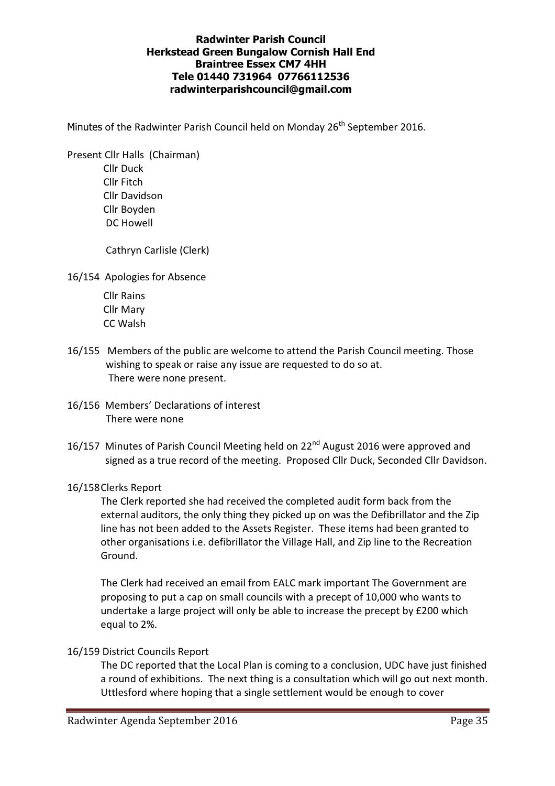## Radwinter Parish Council Herkstead Green Bungalow Cornish Hall End Braintree Essex CM7 4HH Tele 01440 731964 07766112536 radwinterparishcouncil@gmail.com

Minutes of the Radwinter Parish Council held on Monday 26<sup>th</sup> September 2016.

Present Cllr Halls (Chairman) Cllr Duck

> Cllr Fitch Cllr Davidson Cllr Boyden DC Howell

Cathryn Carlisle (Clerk)

16/154 Apologies for Absence

 Cllr Rains Cllr Mary CC Walsh

- 16/155 Members of the public are welcome to attend the Parish Council meeting. Those wishing to speak or raise any issue are requested to do so at. There were none present.
- 16/156 Members' Declarations of interest There were none
- 16/157 Minutes of Parish Council Meeting held on 22<sup>nd</sup> August 2016 were approved and signed as a true record of the meeting. Proposed Cllr Duck, Seconded Cllr Davidson.

### 16/158 Clerks Report

The Clerk reported she had received the completed audit form back from the external auditors, the only thing they picked up on was the Defibrillator and the Zip line has not been added to the Assets Register. These items had been granted to other organisations i.e. defibrillator the Village Hall, and Zip line to the Recreation Ground.

The Clerk had received an email from EALC mark important The Government are proposing to put a cap on small councils with a precept of 10,000 who wants to undertake a large project will only be able to increase the precept by £200 which equal to 2%.

# 16/159 District Councils Report

The DC reported that the Local Plan is coming to a conclusion, UDC have just finished a round of exhibitions. The next thing is a consultation which will go out next month. Uttlesford where hoping that a single settlement would be enough to cover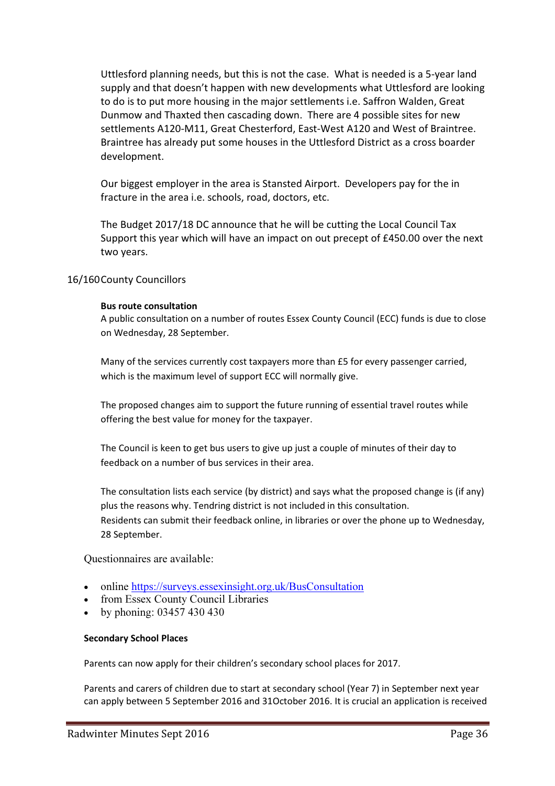Uttlesford planning needs, but this is not the case. What is needed is a 5-year land supply and that doesn't happen with new developments what Uttlesford are looking to do is to put more housing in the major settlements i.e. Saffron Walden, Great Dunmow and Thaxted then cascading down. There are 4 possible sites for new settlements A120-M11, Great Chesterford, East-West A120 and West of Braintree. Braintree has already put some houses in the Uttlesford District as a cross boarder development.

Our biggest employer in the area is Stansted Airport. Developers pay for the in fracture in the area i.e. schools, road, doctors, etc.

The Budget 2017/18 DC announce that he will be cutting the Local Council Tax Support this year which will have an impact on out precept of £450.00 over the next two years.

### 16/160 County Councillors

#### Bus route consultation

A public consultation on a number of routes Essex County Council (ECC) funds is due to close on Wednesday, 28 September.

Many of the services currently cost taxpayers more than £5 for every passenger carried, which is the maximum level of support ECC will normally give.

The proposed changes aim to support the future running of essential travel routes while offering the best value for money for the taxpayer.

The Council is keen to get bus users to give up just a couple of minutes of their day to feedback on a number of bus services in their area.

The consultation lists each service (by district) and says what the proposed change is (if any) plus the reasons why. Tendring district is not included in this consultation. Residents can submit their feedback online, in libraries or over the phone up to Wednesday, 28 September.

Questionnaires are available:

- online https://surveys.essexinsight.org.uk/BusConsultation
- from Essex County Council Libraries
- by phoning: 03457 430 430

#### Secondary School Places

Parents can now apply for their children's secondary school places for 2017.

Parents and carers of children due to start at secondary school (Year 7) in September next year can apply between 5 September 2016 and 31October 2016. It is crucial an application is received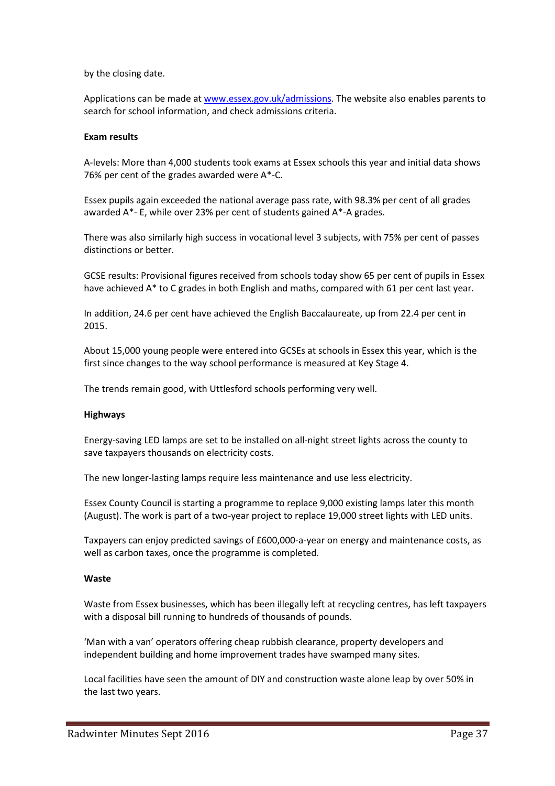by the closing date.

Applications can be made at www.essex.gov.uk/admissions. The website also enables parents to search for school information, and check admissions criteria.

#### Exam results

A-levels: More than 4,000 students took exams at Essex schools this year and initial data shows 76% per cent of the grades awarded were A\*-C.

Essex pupils again exceeded the national average pass rate, with 98.3% per cent of all grades awarded A\*- E, while over 23% per cent of students gained A\*-A grades.

There was also similarly high success in vocational level 3 subjects, with 75% per cent of passes distinctions or better.

GCSE results: Provisional figures received from schools today show 65 per cent of pupils in Essex have achieved A\* to C grades in both English and maths, compared with 61 per cent last year.

In addition, 24.6 per cent have achieved the English Baccalaureate, up from 22.4 per cent in 2015.

About 15,000 young people were entered into GCSEs at schools in Essex this year, which is the first since changes to the way school performance is measured at Key Stage 4.

The trends remain good, with Uttlesford schools performing very well.

#### Highways

Energy-saving LED lamps are set to be installed on all-night street lights across the county to save taxpayers thousands on electricity costs.

The new longer-lasting lamps require less maintenance and use less electricity.

Essex County Council is starting a programme to replace 9,000 existing lamps later this month (August). The work is part of a two-year project to replace 19,000 street lights with LED units.

Taxpayers can enjoy predicted savings of £600,000-a-year on energy and maintenance costs, as well as carbon taxes, once the programme is completed.

#### Waste

Waste from Essex businesses, which has been illegally left at recycling centres, has left taxpayers with a disposal bill running to hundreds of thousands of pounds.

'Man with a van' operators offering cheap rubbish clearance, property developers and independent building and home improvement trades have swamped many sites.

Local facilities have seen the amount of DIY and construction waste alone leap by over 50% in the last two years.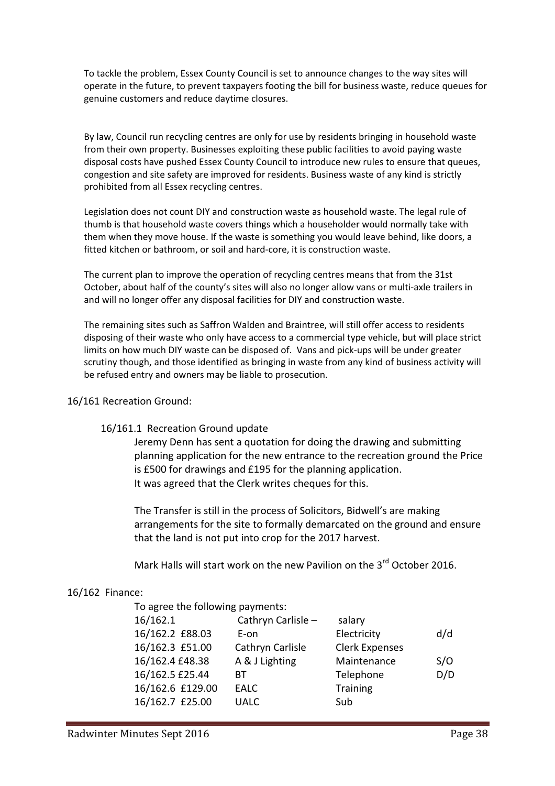To tackle the problem, Essex County Council is set to announce changes to the way sites will operate in the future, to prevent taxpayers footing the bill for business waste, reduce queues for genuine customers and reduce daytime closures.

By law, Council run recycling centres are only for use by residents bringing in household waste from their own property. Businesses exploiting these public facilities to avoid paying waste disposal costs have pushed Essex County Council to introduce new rules to ensure that queues, congestion and site safety are improved for residents. Business waste of any kind is strictly prohibited from all Essex recycling centres.

Legislation does not count DIY and construction waste as household waste. The legal rule of thumb is that household waste covers things which a householder would normally take with them when they move house. If the waste is something you would leave behind, like doors, a fitted kitchen or bathroom, or soil and hard-core, it is construction waste.

The current plan to improve the operation of recycling centres means that from the 31st October, about half of the county's sites will also no longer allow vans or multi-axle trailers in and will no longer offer any disposal facilities for DIY and construction waste.

The remaining sites such as Saffron Walden and Braintree, will still offer access to residents disposing of their waste who only have access to a commercial type vehicle, but will place strict limits on how much DIY waste can be disposed of. Vans and pick-ups will be under greater scrutiny though, and those identified as bringing in waste from any kind of business activity will be refused entry and owners may be liable to prosecution.

### 16/161 Recreation Ground:

### 16/161.1 Recreation Ground update

Jeremy Denn has sent a quotation for doing the drawing and submitting planning application for the new entrance to the recreation ground the Price is £500 for drawings and £195 for the planning application. It was agreed that the Clerk writes cheques for this.

The Transfer is still in the process of Solicitors, Bidwell's are making arrangements for the site to formally demarcated on the ground and ensure that the land is not put into crop for the 2017 harvest.

Mark Halls will start work on the new Pavilion on the 3<sup>rd</sup> October 2016.

### 16/162 Finance:

To agree the following payments:

| 16/162.1         | Cathryn Carlisle - | salary                |     |
|------------------|--------------------|-----------------------|-----|
| 16/162.2 £88.03  | E-on               | Electricity           | d/d |
| 16/162.3 £51.00  | Cathryn Carlisle   | <b>Clerk Expenses</b> |     |
| 16/162.4 £48.38  | A & J Lighting     | Maintenance           | S/O |
| 16/162.5 £25.44  | BТ                 | Telephone             | D/D |
| 16/162.6 £129.00 | <b>EALC</b>        | <b>Training</b>       |     |
| 16/162.7 £25.00  | <b>UALC</b>        | Sub                   |     |
|                  |                    |                       |     |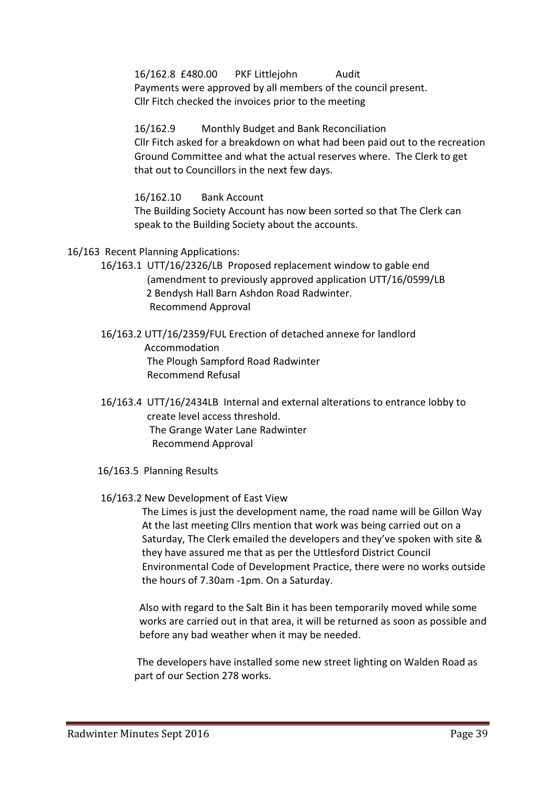16/162.8 £480.00 PKF Littlejohn Audit Payments were approved by all members of the council present. Cllr Fitch checked the invoices prior to the meeting

 16/162.9 Monthly Budget and Bank Reconciliation Cllr Fitch asked for a breakdown on what had been paid out to the recreation Ground Committee and what the actual reserves where. The Clerk to get that out to Councillors in the next few days.

16/162.10 Bank Account

The Building Society Account has now been sorted so that The Clerk can speak to the Building Society about the accounts.

- 16/163 Recent Planning Applications:
	- 16/163.1 UTT/16/2326/LB Proposed replacement window to gable end (amendment to previously approved application UTT/16/0599/LB 2 Bendysh Hall Barn Ashdon Road Radwinter. Recommend Approval
	- 16/163.2 UTT/16/2359/FUL Erection of detached annexe for landlord Accommodation The Plough Sampford Road Radwinter Recommend Refusal
	- 16/163.4 UTT/16/2434LB Internal and external alterations to entrance lobby to create level access threshold. The Grange Water Lane Radwinter Recommend Approval
	- 16/163.5 Planning Results

### 16/163.2 New Development of East View

 The Limes is just the development name, the road name will be Gillon Way At the last meeting Cllrs mention that work was being carried out on a Saturday, The Clerk emailed the developers and they've spoken with site & they have assured me that as per the Uttlesford District Council Environmental Code of Development Practice, there were no works outside the hours of 7.30am -1pm. On a Saturday.

 Also with regard to the Salt Bin it has been temporarily moved while some works are carried out in that area, it will be returned as soon as possible and before any bad weather when it may be needed.

The developers have installed some new street lighting on Walden Road as part of our Section 278 works.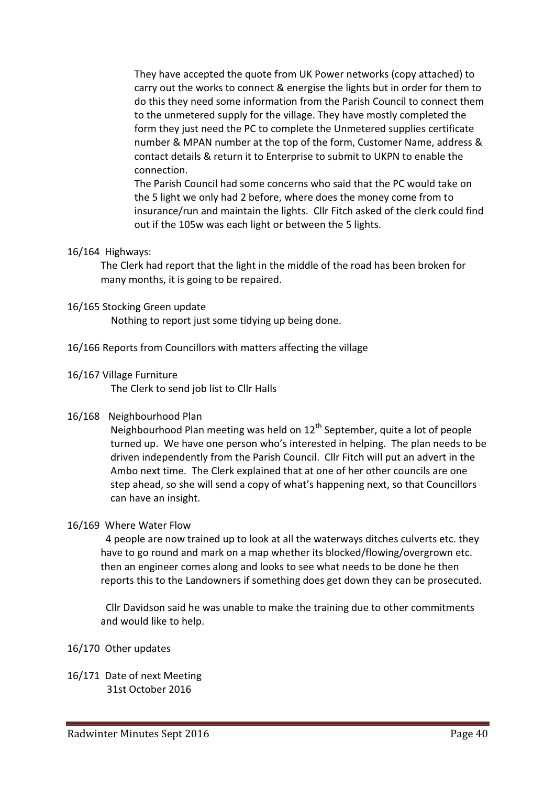They have accepted the quote from UK Power networks (copy attached) to carry out the works to connect & energise the lights but in order for them to do this they need some information from the Parish Council to connect them to the unmetered supply for the village. They have mostly completed the form they just need the PC to complete the Unmetered supplies certificate number & MPAN number at the top of the form, Customer Name, address & contact details & return it to Enterprise to submit to UKPN to enable the connection.

The Parish Council had some concerns who said that the PC would take on the 5 light we only had 2 before, where does the money come from to insurance/run and maintain the lights. Cllr Fitch asked of the clerk could find out if the 105w was each light or between the 5 lights.

### 16/164 Highways:

The Clerk had report that the light in the middle of the road has been broken for many months, it is going to be repaired.

## 16/165 Stocking Green update

Nothing to report just some tidying up being done.

16/166 Reports from Councillors with matters affecting the village

## 16/167 Village Furniture

The Clerk to send job list to Cllr Halls

### 16/168 Neighbourhood Plan

Neighbourhood Plan meeting was held on  $12<sup>th</sup>$  September, quite a lot of people turned up. We have one person who's interested in helping. The plan needs to be driven independently from the Parish Council. Cllr Fitch will put an advert in the Ambo next time. The Clerk explained that at one of her other councils are one step ahead, so she will send a copy of what's happening next, so that Councillors can have an insight.

# 16/169 Where Water Flow

4 people are now trained up to look at all the waterways ditches culverts etc. they have to go round and mark on a map whether its blocked/flowing/overgrown etc. then an engineer comes along and looks to see what needs to be done he then reports this to the Landowners if something does get down they can be prosecuted.

Cllr Davidson said he was unable to make the training due to other commitments and would like to help.

### 16/170 Other updates

16/171 Date of next Meeting 31st October 2016